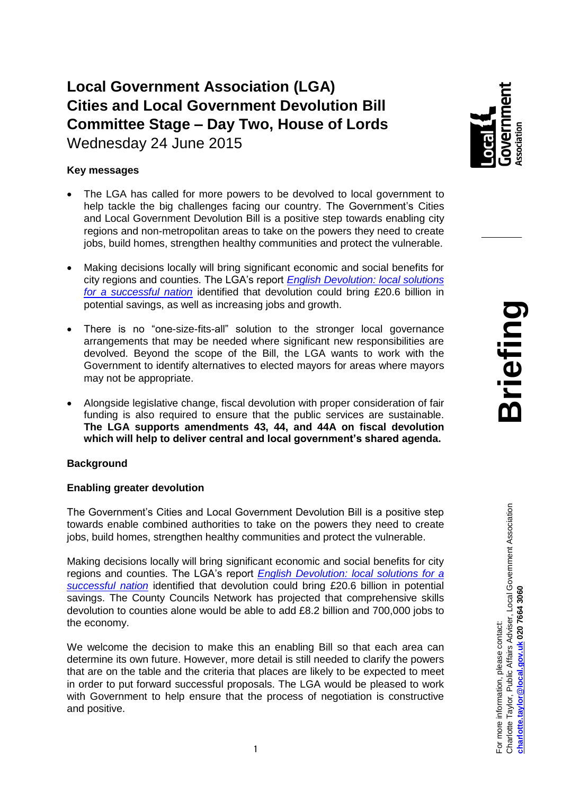# **Local Government Association (LGA) Cities and Local Government Devolution Bill Committee Stage – Day Two, House of Lords** Wednesday 24 June 2015

## **Key messages**

- The LGA has called for more powers to be devolved to local government to help tackle the big challenges facing our country. The Government's Cities and Local Government Devolution Bill is a positive step towards enabling city regions and non-metropolitan areas to take on the powers they need to create jobs, build homes, strengthen healthy communities and protect the vulnerable.
- Making decisions locally will bring significant economic and social benefits for city regions and counties. The LGA's report *[English Devolution: local solutions](http://www.local.gov.uk/documents/10180/6917361/L15-178+DevoNext+devolution+publication/7e036308-6ebc-4f20-8d26-d6e2cd7f6eb2)  [for a successful nation](http://www.local.gov.uk/documents/10180/6917361/L15-178+DevoNext+devolution+publication/7e036308-6ebc-4f20-8d26-d6e2cd7f6eb2)* identified that devolution could bring £20.6 billion in potential savings, as well as increasing jobs and growth.
- There is no "one-size-fits-all" solution to the stronger local governance arrangements that may be needed where significant new responsibilities are devolved. Beyond the scope of the Bill, the LGA wants to work with the Government to identify alternatives to elected mayors for areas where mayors may not be appropriate.
- Alongside legislative change, fiscal devolution with proper consideration of fair funding is also required to ensure that the public services are sustainable. **The LGA supports amendments 43, 44, and 44A on fiscal devolution which will help to deliver central and local government's shared agenda.**

### **Background**

### **Enabling greater devolution**

The Government's Cities and Local Government Devolution Bill is a positive step towards enable combined authorities to take on the powers they need to create jobs, build homes, strengthen healthy communities and protect the vulnerable.

Making decisions locally will bring significant economic and social benefits for city regions and counties. The LGA's report *[English Devolution: local solutions for a](http://www.local.gov.uk/documents/10180/6917361/L15-178+DevoNext+devolution+publication/7e036308-6ebc-4f20-8d26-d6e2cd7f6eb2)  [successful nation](http://www.local.gov.uk/documents/10180/6917361/L15-178+DevoNext+devolution+publication/7e036308-6ebc-4f20-8d26-d6e2cd7f6eb2)* identified that devolution could bring £20.6 billion in potential savings. The County Councils Network has projected that comprehensive skills devolution to counties alone would be able to add £8.2 billion and 700,000 jobs to the economy.

We welcome the decision to make this an enabling Bill so that each area can determine its own future. However, more detail is still needed to clarify the powers that are on the table and the criteria that places are likely to be expected to meet in order to put forward successful proposals. The LGA would be pleased to work with Government to help ensure that the process of negotiation is constructive and positive.